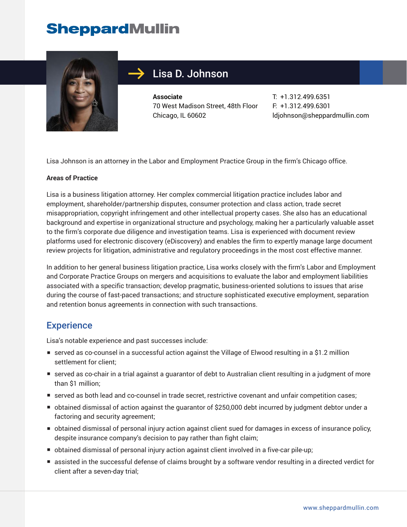## **SheppardMullin**



### Lisa D. Johnson

**Associate** 70 West Madison Street, 48th Floor Chicago, IL 60602

T: +1.312.499.6351 F: +1.312.499.6301 ldjohnson@sheppardmullin.com

Lisa Johnson is an attorney in the Labor and Employment Practice Group in the firm's Chicago office.

#### **Areas of Practice**

Lisa is a business litigation attorney. Her complex commercial litigation practice includes labor and employment, shareholder/partnership disputes, consumer protection and class action, trade secret misappropriation, copyright infringement and other intellectual property cases. She also has an educational background and expertise in organizational structure and psychology, making her a particularly valuable asset to the firm's corporate due diligence and investigation teams. Lisa is experienced with document review platforms used for electronic discovery (eDiscovery) and enables the firm to expertly manage large document review projects for litigation, administrative and regulatory proceedings in the most cost effective manner.

In addition to her general business litigation practice, Lisa works closely with the firm's Labor and Employment and Corporate Practice Groups on mergers and acquisitions to evaluate the labor and employment liabilities associated with a specific transaction; develop pragmatic, business-oriented solutions to issues that arise during the course of fast-paced transactions; and structure sophisticated executive employment, separation and retention bonus agreements in connection with such transactions.

#### **Experience**

Lisa's notable experience and past successes include:

- served as co-counsel in a successful action against the Village of Elwood resulting in a \$1.2 million settlement for client;
- served as co-chair in a trial against a guarantor of debt to Australian client resulting in a judgment of more than \$1 million;
- served as both lead and co-counsel in trade secret, restrictive covenant and unfair competition cases;
- obtained dismissal of action against the quarantor of \$250,000 debt incurred by judgment debtor under a factoring and security agreement;
- obtained dismissal of personal injury action against client sued for damages in excess of insurance policy, despite insurance company's decision to pay rather than fight claim;
- obtained dismissal of personal injury action against client involved in a five-car pile-up;
- assisted in the successful defense of claims brought by a software vendor resulting in a directed verdict for client after a seven-day trial;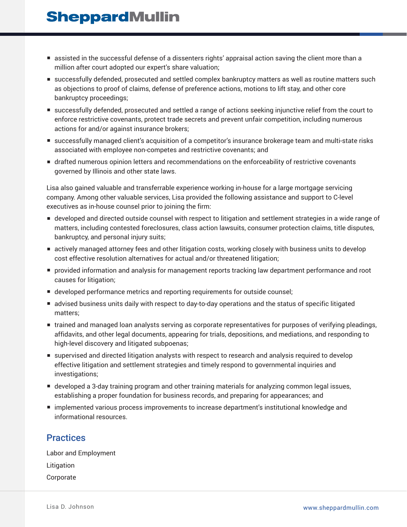## **SheppardMullin**

- assisted in the successful defense of a dissenters rights' appraisal action saving the client more than a million after court adopted our expert's share valuation;
- successfully defended, prosecuted and settled complex bankruptcy matters as well as routine matters such as objections to proof of claims, defense of preference actions, motions to lift stay, and other core bankruptcy proceedings;
- successfully defended, prosecuted and settled a range of actions seeking injunctive relief from the court to enforce restrictive covenants, protect trade secrets and prevent unfair competition, including numerous actions for and/or against insurance brokers;
- successfully managed client's acquisition of a competitor's insurance brokerage team and multi-state risks associated with employee non-competes and restrictive covenants; and
- drafted numerous opinion letters and recommendations on the enforceability of restrictive covenants governed by Illinois and other state laws.

Lisa also gained valuable and transferrable experience working in-house for a large mortgage servicing company. Among other valuable services, Lisa provided the following assistance and support to C-level executives as in-house counsel prior to joining the firm:

- developed and directed outside counsel with respect to litigation and settlement strategies in a wide range of matters, including contested foreclosures, class action lawsuits, consumer protection claims, title disputes, bankruptcy, and personal injury suits;
- actively managed attorney fees and other litigation costs, working closely with business units to develop cost effective resolution alternatives for actual and/or threatened litigation;
- provided information and analysis for management reports tracking law department performance and root causes for litigation;
- developed performance metrics and reporting requirements for outside counsel;
- advised business units daily with respect to day-to-day operations and the status of specific litigated matters;
- trained and managed loan analysts serving as corporate representatives for purposes of verifying pleadings, affidavits, and other legal documents, appearing for trials, depositions, and mediations, and responding to high-level discovery and litigated subpoenas;
- supervised and directed litigation analysts with respect to research and analysis required to develop effective litigation and settlement strategies and timely respond to governmental inquiries and investigations;
- developed a 3-day training program and other training materials for analyzing common legal issues, establishing a proper foundation for business records, and preparing for appearances; and
- implemented various process improvements to increase department's institutional knowledge and informational resources.

#### **Practices**

Labor and Employment Litigation Corporate